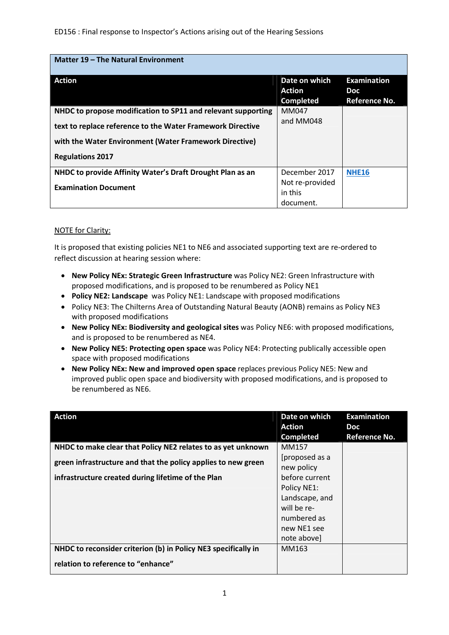ED156 : Final response to Inspector's Actions arising out of the Hearing Sessions

| Matter 19 - The Natural Environment                          |                                             |                                                   |
|--------------------------------------------------------------|---------------------------------------------|---------------------------------------------------|
| Action                                                       | Date on which<br>Action<br><b>Completed</b> | <b>Examination</b><br><b>Doc</b><br>Reference No. |
| NHDC to propose modification to SP11 and relevant supporting | MM047                                       |                                                   |
| text to replace reference to the Water Framework Directive   | and MM048                                   |                                                   |
| with the Water Environment (Water Framework Directive)       |                                             |                                                   |
| <b>Regulations 2017</b>                                      |                                             |                                                   |
| NHDC to provide Affinity Water's Draft Drought Plan as an    | December 2017                               | <b>NHE16</b>                                      |
| <b>Examination Document</b>                                  | Not re-provided<br>in this<br>document.     |                                                   |

## NOTE for Clarity:

It is proposed that existing policies NE1 to NE6 and associated supporting text are re-ordered to reflect discussion at hearing session where:

- **New Policy NEx: Strategic Green Infrastructure** was Policy NE2: Green Infrastructure with proposed modifications, and is proposed to be renumbered as Policy NE1
- **Policy NE2: Landscape** was Policy NE1: Landscape with proposed modifications
- Policy NE3: The Chilterns Area of Outstanding Natural Beauty (AONB) remains as Policy NE3 with proposed modifications
- **New Policy NEx: Biodiversity and geological sites** was Policy NE6: with proposed modifications, and is proposed to be renumbered as NE4.
- **New Policy NE5: Protecting open space** was Policy NE4: Protecting publically accessible open space with proposed modifications
- **New Policy NEx: New and improved open space** replaces previous Policy NE5: New and improved public open space and biodiversity with proposed modifications, and is proposed to be renumbered as NE6.

| <b>Action</b><br>NHDC to make clear that Policy NE2 relates to as yet unknown | Date on which<br>Action<br><b>Completed</b><br>MM157                                                        | <b>Examination</b><br><b>Doc</b><br><b>Reference No.</b> |
|-------------------------------------------------------------------------------|-------------------------------------------------------------------------------------------------------------|----------------------------------------------------------|
| green infrastructure and that the policy applies to new green                 | [proposed as a<br>new policy                                                                                |                                                          |
| infrastructure created during lifetime of the Plan                            | before current<br>Policy NE1:<br>Landscape, and<br>will be re-<br>numbered as<br>new NE1 see<br>note above] |                                                          |
| NHDC to reconsider criterion (b) in Policy NE3 specifically in                | MM163                                                                                                       |                                                          |
| relation to reference to "enhance"                                            |                                                                                                             |                                                          |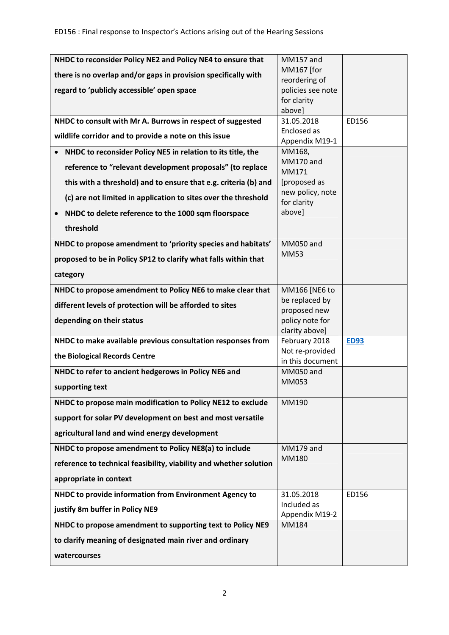| NHDC to reconsider Policy NE2 and Policy NE4 to ensure that        | <b>MM157</b> and                 |             |
|--------------------------------------------------------------------|----------------------------------|-------------|
| there is no overlap and/or gaps in provision specifically with     | MM167 [for                       |             |
|                                                                    | reordering of                    |             |
| regard to 'publicly accessible' open space                         | policies see note                |             |
|                                                                    | for clarity<br>above]            |             |
| NHDC to consult with Mr A. Burrows in respect of suggested         | 31.05.2018                       | ED156       |
|                                                                    | Enclosed as                      |             |
| wildlife corridor and to provide a note on this issue              | Appendix M19-1                   |             |
| NHDC to reconsider Policy NE5 in relation to its title, the        | MM168,                           |             |
| reference to "relevant development proposals" (to replace          | MM170 and<br>MM171               |             |
| this with a threshold) and to ensure that e.g. criteria (b) and    | [proposed as<br>new policy, note |             |
| (c) are not limited in application to sites over the threshold     | for clarity                      |             |
| NHDC to delete reference to the 1000 sqm floorspace                | above]                           |             |
| threshold                                                          |                                  |             |
| NHDC to propose amendment to 'priority species and habitats'       | MM050 and                        |             |
| proposed to be in Policy SP12 to clarify what falls within that    | <b>MM53</b>                      |             |
| category                                                           |                                  |             |
| NHDC to propose amendment to Policy NE6 to make clear that         | MM166 [NE6 to                    |             |
| different levels of protection will be afforded to sites           | be replaced by                   |             |
| depending on their status                                          | proposed new<br>policy note for  |             |
|                                                                    | clarity above]                   |             |
| NHDC to make available previous consultation responses from        | February 2018                    | <b>ED93</b> |
| the Biological Records Centre                                      | Not re-provided                  |             |
| NHDC to refer to ancient hedgerows in Policy NE6 and               | in this document<br>MM050 and    |             |
|                                                                    | MM053                            |             |
| supporting text                                                    |                                  |             |
| NHDC to propose main modification to Policy NE12 to exclude        | MM190                            |             |
| support for solar PV development on best and most versatile        |                                  |             |
| agricultural land and wind energy development                      |                                  |             |
| NHDC to propose amendment to Policy NE8(a) to include              | MM179 and                        |             |
| reference to technical feasibility, viability and whether solution | MM180                            |             |
| appropriate in context                                             |                                  |             |
| NHDC to provide information from Environment Agency to             | 31.05.2018                       | ED156       |
| justify 8m buffer in Policy NE9                                    | Included as<br>Appendix M19-2    |             |
| NHDC to propose amendment to supporting text to Policy NE9         | MM184                            |             |
| to clarify meaning of designated main river and ordinary           |                                  |             |
| watercourses                                                       |                                  |             |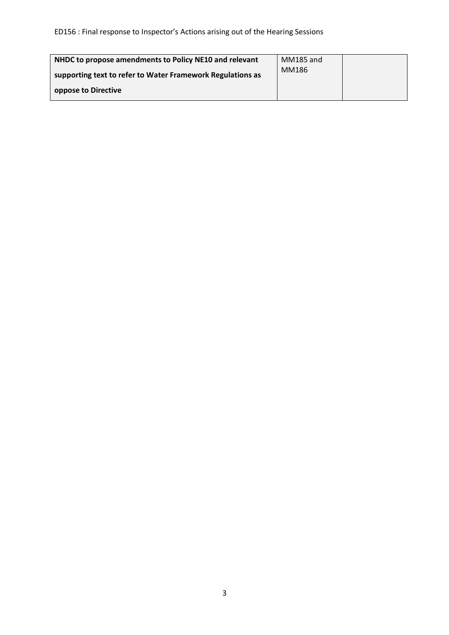| NHDC to propose amendments to Policy NE10 and relevant     | MM185 and |  |
|------------------------------------------------------------|-----------|--|
| supporting text to refer to Water Framework Regulations as | MM186     |  |
| oppose to Directive                                        |           |  |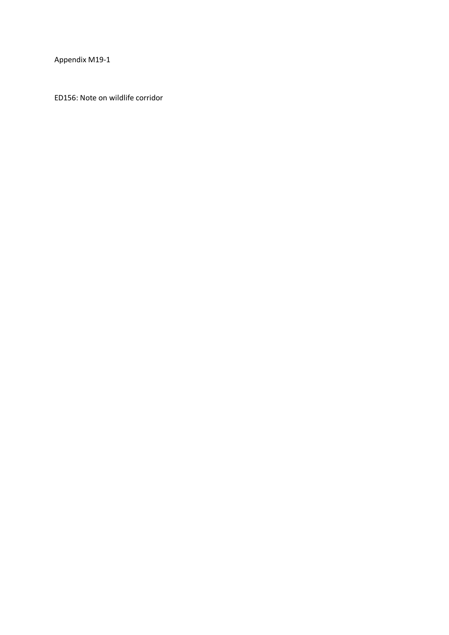Appendix M19-1

ED156: Note on wildlife corridor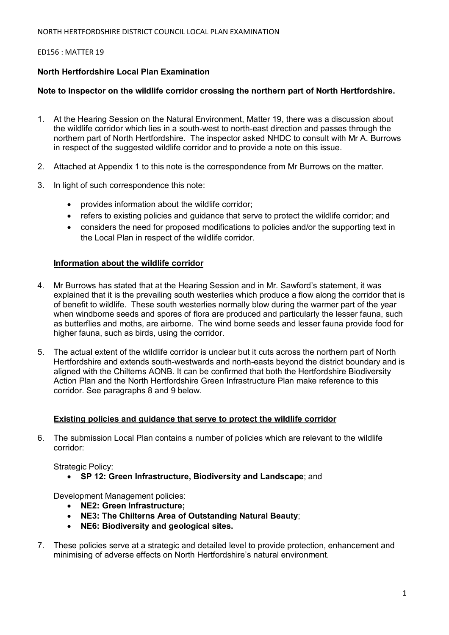NORTH HERTFORDSHIRE DISTRICT COUNCIL LOCAL PLAN EXAMINATION

## ED156 : MATTER 19

## **North Hertfordshire Local Plan Examination**

## **Note to Inspector on the wildlife corridor crossing the northern part of North Hertfordshire.**

- 1. At the Hearing Session on the Natural Environment, Matter 19, there was a discussion about the wildlife corridor which lies in a south-west to north-east direction and passes through the northern part of North Hertfordshire. The inspector asked NHDC to consult with Mr A. Burrows in respect of the suggested wildlife corridor and to provide a note on this issue.
- 2. Attached at Appendix 1 to this note is the correspondence from Mr Burrows on the matter.
- 3. In light of such correspondence this note:
	- provides information about the wildlife corridor;
	- refers to existing policies and guidance that serve to protect the wildlife corridor; and
	- considers the need for proposed modifications to policies and/or the supporting text in the Local Plan in respect of the wildlife corridor.

## **Information about the wildlife corridor**

- 4. Mr Burrows has stated that at the Hearing Session and in Mr. Sawford's statement, it was explained that it is the prevailing south westerlies which produce a flow along the corridor that is of benefit to wildlife. These south westerlies normally blow during the warmer part of the year when windborne seeds and spores of flora are produced and particularly the lesser fauna, such as butterflies and moths, are airborne. The wind borne seeds and lesser fauna provide food for higher fauna, such as birds, using the corridor.
- 5. The actual extent of the wildlife corridor is unclear but it cuts across the northern part of North Hertfordshire and extends south-westwards and north-easts beyond the district boundary and is aligned with the Chilterns AONB. It can be confirmed that both the Hertfordshire Biodiversity Action Plan and the North Hertfordshire Green Infrastructure Plan make reference to this corridor. See paragraphs 8 and 9 below.

## **Existing policies and guidance that serve to protect the wildlife corridor**

6. The submission Local Plan contains a number of policies which are relevant to the wildlife corridor:

Strategic Policy:

• **SP 12: Green Infrastructure, Biodiversity and Landscape**; and

Development Management policies:

- **NE2: Green Infrastructure;**
- **NE3: The Chilterns Area of Outstanding Natural Beauty**;
- **NE6: Biodiversity and geological sites.**
- 7. These policies serve at a strategic and detailed level to provide protection, enhancement and minimising of adverse effects on North Hertfordshire's natural environment.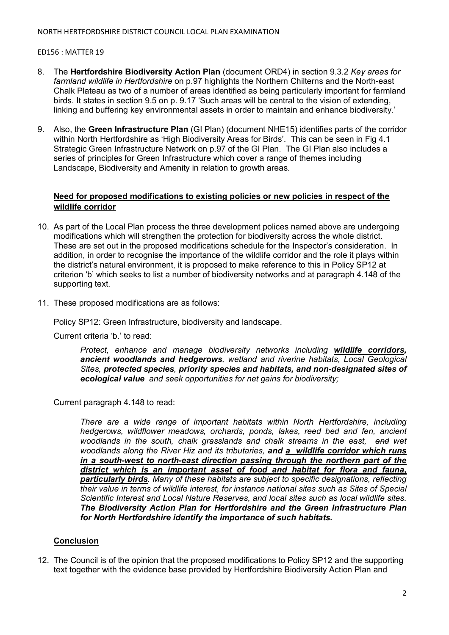## ED156 : MATTER 19

- 8. The **Hertfordshire Biodiversity Action Plan** (document ORD4) in section 9.3.2 *Key areas for farmland wildlife in Hertfordshire* on p.97 highlights the Northern Chilterns and the North-east Chalk Plateau as two of a number of areas identified as being particularly important for farmland birds. It states in section 9.5 on p. 9.17 'Such areas will be central to the vision of extending, linking and buffering key environmental assets in order to maintain and enhance biodiversity.'
- 9. Also, the **Green Infrastructure Plan** (GI Plan) (document NHE15) identifies parts of the corridor within North Hertfordshire as 'High Biodiversity Areas for Birds'. This can be seen in Fig 4.1 Strategic Green Infrastructure Network on p.97 of the GI Plan. The GI Plan also includes a series of principles for Green Infrastructure which cover a range of themes including Landscape, Biodiversity and Amenity in relation to growth areas.

## **Need for proposed modifications to existing policies or new policies in respect of the wildlife corridor**

- 10. As part of the Local Plan process the three development polices named above are undergoing modifications which will strengthen the protection for biodiversity across the whole district. These are set out in the proposed modifications schedule for the Inspector's consideration. In addition, in order to recognise the importance of the wildlife corridor and the role it plays within the district's natural environment, it is proposed to make reference to this in Policy SP12 at criterion 'b' which seeks to list a number of biodiversity networks and at paragraph 4.148 of the supporting text.
- 11. These proposed modifications are as follows:

Policy SP12: Green Infrastructure, biodiversity and landscape.

Current criteria 'b.' to read:

*Protect, enhance and manage biodiversity networks including wildlife corridors, ancient woodlands and hedgerows, wetland and riverine habitats, Local Geological Sites, protected species, priority species and habitats, and non-designated sites of ecological value and seek opportunities for net gains for biodiversity;* 

Current paragraph 4.148 to read:

*There are a wide range of important habitats within North Hertfordshire, including hedgerows, wildflower meadows, orchards, ponds, lakes, reed bed and fen, ancient woodlands in the south, chalk grasslands and chalk streams in the east, and wet woodlands along the River Hiz and its tributaries, and a wildlife corridor which runs in a south-west to north-east direction passing through the northern part of the district which is an important asset of food and habitat for flora and fauna, particularly birds. Many of these habitats are subject to specific designations, reflecting their value in terms of wildlife interest, for instance national sites such as Sites of Special Scientific Interest and Local Nature Reserves, and local sites such as local wildlife sites. The Biodiversity Action Plan for Hertfordshire and the Green Infrastructure Plan for North Hertfordshire identify the importance of such habitats.* 

## **Conclusion**

12. The Council is of the opinion that the proposed modifications to Policy SP12 and the supporting text together with the evidence base provided by Hertfordshire Biodiversity Action Plan and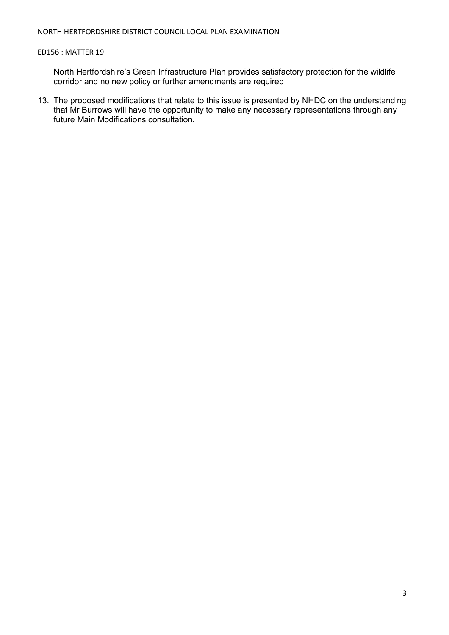## ED156 : MATTER 19

North Hertfordshire's Green Infrastructure Plan provides satisfactory protection for the wildlife corridor and no new policy or further amendments are required.

13. The proposed modifications that relate to this issue is presented by NHDC on the understanding that Mr Burrows will have the opportunity to make any necessary representations through any future Main Modifications consultation.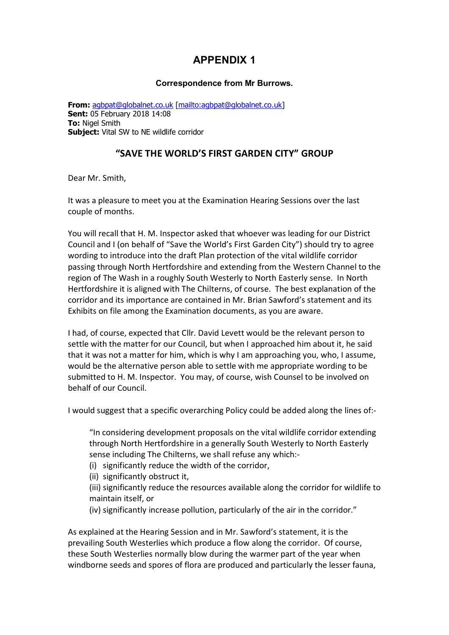# **APPENDIX 1**

## **Correspondence from Mr Burrows.**

**From:** agbpat@globalnet.co.uk [mailto:agbpat@globalnet.co.uk] **Sent:** 05 February 2018 14:08 **To:** Nigel Smith **Subject:** Vital SW to NE wildlife corridor

## **"SAVE THE WORLD'S FIRST GARDEN CITY" GROUP**

Dear Mr. Smith,

It was a pleasure to meet you at the Examination Hearing Sessions over the last couple of months.

You will recall that H. M. Inspector asked that whoever was leading for our District Council and I (on behalf of "Save the World's First Garden City") should try to agree wording to introduce into the draft Plan protection of the vital wildlife corridor passing through North Hertfordshire and extending from the Western Channel to the region of The Wash in a roughly South Westerly to North Easterly sense. In North Hertfordshire it is aligned with The Chilterns, of course. The best explanation of the corridor and its importance are contained in Mr. Brian Sawford's statement and its Exhibits on file among the Examination documents, as you are aware.

I had, of course, expected that Cllr. David Levett would be the relevant person to settle with the matter for our Council, but when I approached him about it, he said that it was not a matter for him, which is why I am approaching you, who, I assume, would be the alternative person able to settle with me appropriate wording to be submitted to H. M. Inspector. You may, of course, wish Counsel to be involved on behalf of our Council.

I would suggest that a specific overarching Policy could be added along the lines of:-

"In considering development proposals on the vital wildlife corridor extending through North Hertfordshire in a generally South Westerly to North Easterly sense including The Chilterns, we shall refuse any which:-

- (i) significantly reduce the width of the corridor,
- (ii) significantly obstruct it,
- (iii) significantly reduce the resources available along the corridor for wildlife to maintain itself, or
- (iv) significantly increase pollution, particularly of the air in the corridor."

As explained at the Hearing Session and in Mr. Sawford's statement, it is the prevailing South Westerlies which produce a flow along the corridor. Of course, these South Westerlies normally blow during the warmer part of the year when windborne seeds and spores of flora are produced and particularly the lesser fauna,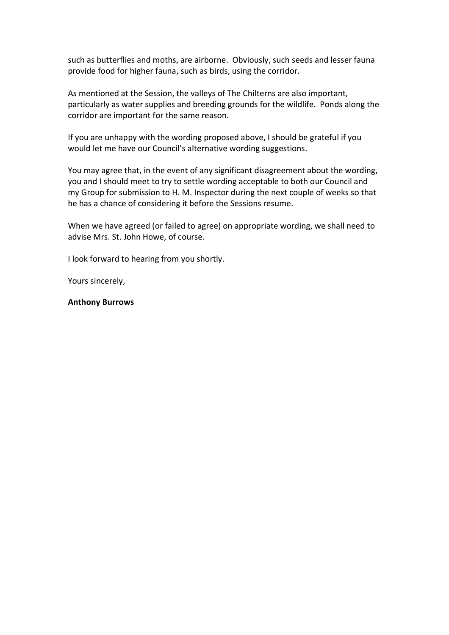such as butterflies and moths, are airborne. Obviously, such seeds and lesser fauna provide food for higher fauna, such as birds, using the corridor.

As mentioned at the Session, the valleys of The Chilterns are also important, particularly as water supplies and breeding grounds for the wildlife. Ponds along the corridor are important for the same reason.

If you are unhappy with the wording proposed above, I should be grateful if you would let me have our Council's alternative wording suggestions.

You may agree that, in the event of any significant disagreement about the wording, you and I should meet to try to settle wording acceptable to both our Council and my Group for submission to H. M. Inspector during the next couple of weeks so that he has a chance of considering it before the Sessions resume.

When we have agreed (or failed to agree) on appropriate wording, we shall need to advise Mrs. St. John Howe, of course.

I look forward to hearing from you shortly.

Yours sincerely,

#### **Anthony Burrows**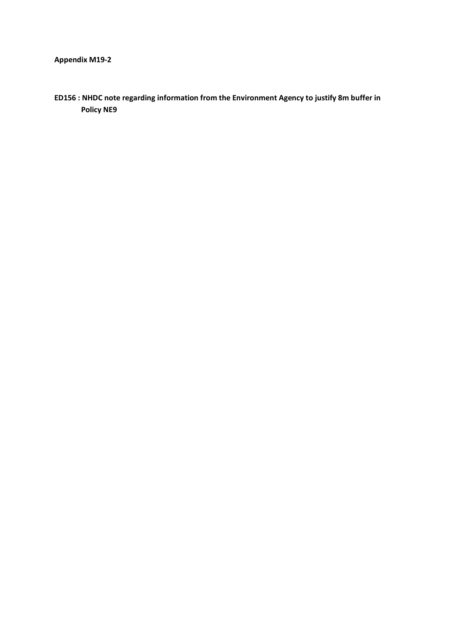**ED156 : NHDC note regarding information from the Environment Agency to justify 8m buffer in Policy NE9**